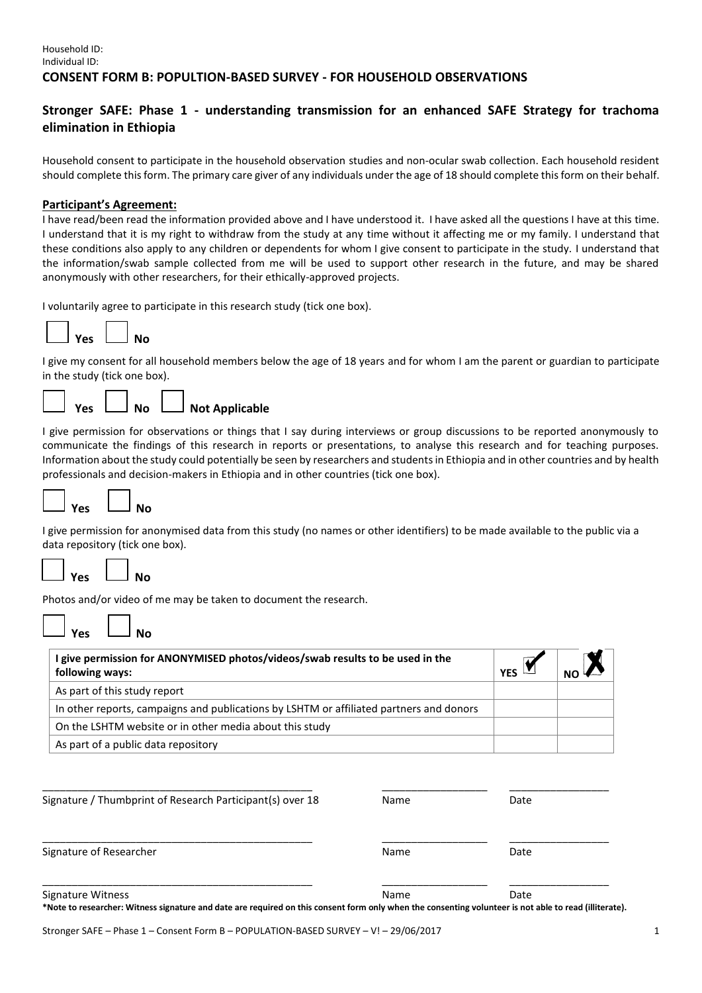### Household ID: Individual ID: **CONSENT FORM B: POPULTION-BASED SURVEY - FOR HOUSEHOLD OBSERVATIONS**

# **Stronger SAFE: Phase 1 - understanding transmission for an enhanced SAFE Strategy for trachoma elimination in Ethiopia**

Household consent to participate in the household observation studies and non-ocular swab collection. Each household resident should complete this form. The primary care giver of any individuals under the age of 18 should complete this form on their behalf.

### **Participant's Agreement:**

I have read/been read the information provided above and I have understood it. I have asked all the questions I have at this time. I understand that it is my right to withdraw from the study at any time without it affecting me or my family. I understand that these conditions also apply to any children or dependents for whom I give consent to participate in the study. I understand that the information/swab sample collected from me will be used to support other research in the future, and may be shared anonymously with other researchers, for their ethically-approved projects.

I voluntarily agree to participate in this research study (tick one box).



I give my consent for all household members below the age of 18 years and for whom I am the parent or guardian to participate in the study (tick one box).



I give permission for observations or things that I say during interviews or group discussions to be reported anonymously to communicate the findings of this research in reports or presentations, to analyse this research and for teaching purposes. Information about the study could potentially be seen by researchers and students in Ethiopia and in other countries and by health professionals and decision-makers in Ethiopia and in other countries (tick one box).



I give permission for anonymised data from this study (no names or other identifiers) to be made available to the public via a data repository (tick one box).



Photos and/or video of me may be taken to document the research.

| Yρς | Nο |
|-----|----|
|     |    |

| I give permission for ANONYMISED photos/videos/swab results to be used in the<br>following ways: | <b>YFS</b> |  |
|--------------------------------------------------------------------------------------------------|------------|--|
| As part of this study report                                                                     |            |  |
| In other reports, campaigns and publications by LSHTM or affiliated partners and donors          |            |  |
| On the LSHTM website or in other media about this study                                          |            |  |
| As part of a public data repository                                                              |            |  |

| Signature / Thumbprint of Research Participant(s) over 18                                                                                                                   | Name | Date |
|-----------------------------------------------------------------------------------------------------------------------------------------------------------------------------|------|------|
| Signature of Researcher                                                                                                                                                     | Name | Date |
| Signature Witness<br>*Note to researcher: Witness signature and date are required on this consent form only when the consenting volunteer is not able to read (illiterate). | Name | Date |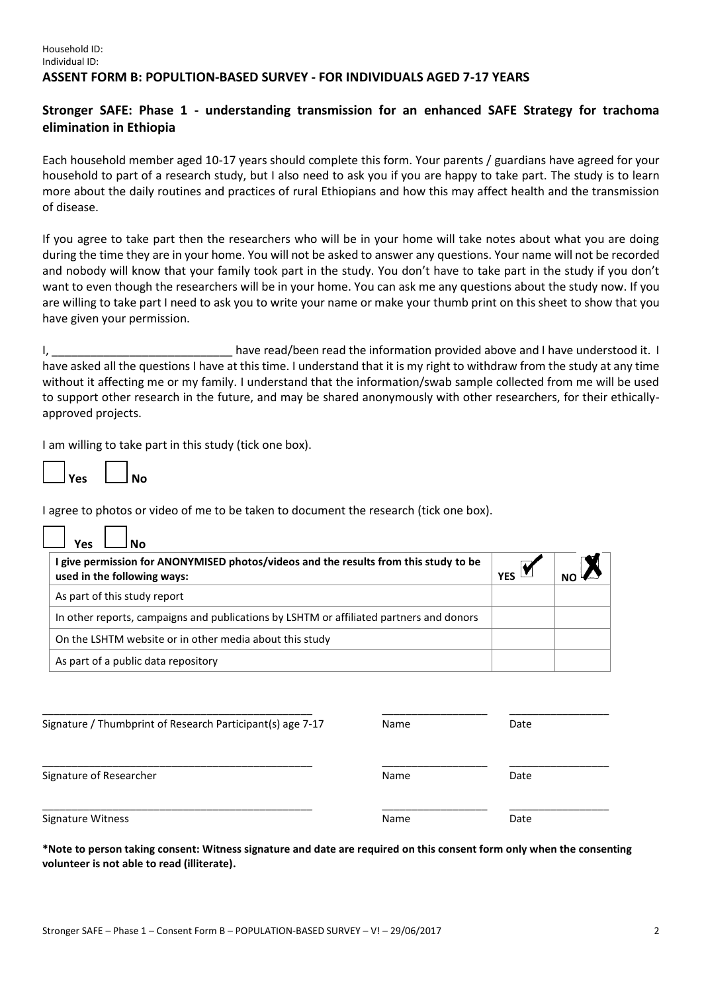### Household ID: Individual ID: **ASSENT FORM B: POPULTION-BASED SURVEY - FOR INDIVIDUALS AGED 7-17 YEARS**

## **Stronger SAFE: Phase 1 - understanding transmission for an enhanced SAFE Strategy for trachoma elimination in Ethiopia**

Each household member aged 10-17 years should complete this form. Your parents / guardians have agreed for your household to part of a research study, but I also need to ask you if you are happy to take part. The study is to learn more about the daily routines and practices of rural Ethiopians and how this may affect health and the transmission of disease.

If you agree to take part then the researchers who will be in your home will take notes about what you are doing during the time they are in your home. You will not be asked to answer any questions. Your name will not be recorded and nobody will know that your family took part in the study. You don't have to take part in the study if you don't want to even though the researchers will be in your home. You can ask me any questions about the study now. If you are willing to take part I need to ask you to write your name or make your thumb print on this sheet to show that you have given your permission.

I, \_\_\_\_\_\_\_\_\_\_\_\_\_\_\_\_\_\_\_\_\_\_\_\_\_\_\_\_\_\_\_\_ have read/been read the information provided above and I have understood it. I have asked all the questions I have at this time. I understand that it is my right to withdraw from the study at any time without it affecting me or my family. I understand that the information/swab sample collected from me will be used to support other research in the future, and may be shared anonymously with other researchers, for their ethicallyapproved projects.

I am willing to take part in this study (tick one box).

| <b>Yes</b> |  | No |
|------------|--|----|

 $\Box$ 

 $\Box$ 

I agree to photos or video of me to be taken to document the research (tick one box).

| Yes                                                                                                                 |            |  |
|---------------------------------------------------------------------------------------------------------------------|------------|--|
| I give permission for ANONYMISED photos/videos and the results from this study to be<br>used in the following ways: | <b>YFS</b> |  |
| As part of this study report                                                                                        |            |  |
| In other reports, campaigns and publications by LSHTM or affiliated partners and donors                             |            |  |
| On the LSHTM website or in other media about this study                                                             |            |  |
| As part of a public data repository                                                                                 |            |  |

| Signature / Thumbprint of Research Participant(s) age 7-17 | <b>Name</b> | Date |
|------------------------------------------------------------|-------------|------|
| Signature of Researcher                                    | Name        | Date |
| Signature Witness                                          | Name        | Date |

**\*Note to person taking consent: Witness signature and date are required on this consent form only when the consenting volunteer is not able to read (illiterate).**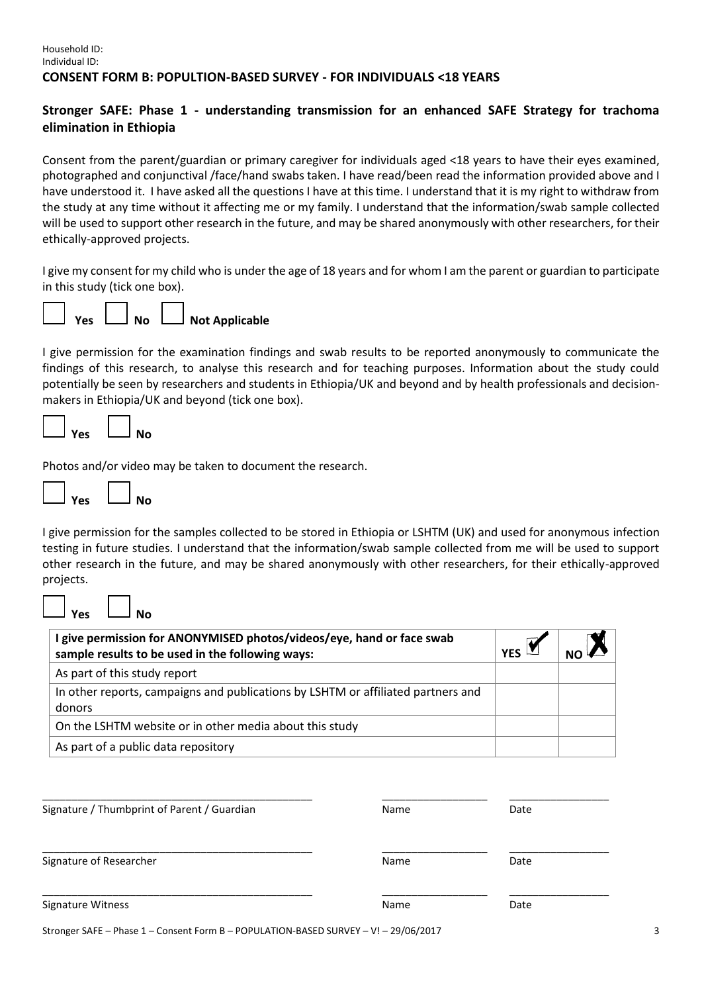# **Stronger SAFE: Phase 1 - understanding transmission for an enhanced SAFE Strategy for trachoma elimination in Ethiopia**

Consent from the parent/guardian or primary caregiver for individuals aged <18 years to have their eyes examined, photographed and conjunctival /face/hand swabs taken. I have read/been read the information provided above and I have understood it. I have asked all the questions I have at this time. I understand that it is my right to withdraw from the study at any time without it affecting me or my family. I understand that the information/swab sample collected will be used to support other research in the future, and may be shared anonymously with other researchers, for their ethically-approved projects.

I give my consent for my child who is under the age of 18 years and for whom I am the parent or guardian to participate in this study (tick one box).



I give permission for the examination findings and swab results to be reported anonymously to communicate the findings of this research, to analyse this research and for teaching purposes. Information about the study could potentially be seen by researchers and students in Ethiopia/UK and beyond and by health professionals and decisionmakers in Ethiopia/UK and beyond (tick one box).

| Vec | งเก<br>в |
|-----|----------|
|     |          |

Photos and/or video may be taken to document the research.

| No<br>Yes |
|-----------|
|-----------|

I give permission for the samples collected to be stored in Ethiopia or LSHTM (UK) and used for anonymous infection testing in future studies. I understand that the information/swab sample collected from me will be used to support other research in the future, and may be shared anonymously with other researchers, for their ethically-approved projects.

**Yes No**

| I give permission for ANONYMISED photos/videos/eye, hand or face swab<br>sample results to be used in the following ways: | <b>YFS</b> |  |
|---------------------------------------------------------------------------------------------------------------------------|------------|--|
| As part of this study report                                                                                              |            |  |
| In other reports, campaigns and publications by LSHTM or affiliated partners and                                          |            |  |
| donors                                                                                                                    |            |  |
| On the LSHTM website or in other media about this study                                                                   |            |  |
| As part of a public data repository                                                                                       |            |  |

| Signature / Thumbprint of Parent / Guardian | Name | Date |  |
|---------------------------------------------|------|------|--|
| Signature of Researcher                     | Name | Date |  |
| Signature Witness                           | Name | Date |  |

Stronger SAFE – Phase 1 – Consent Form B – POPULATION-BASED SURVEY – V! – 29/06/2017 3